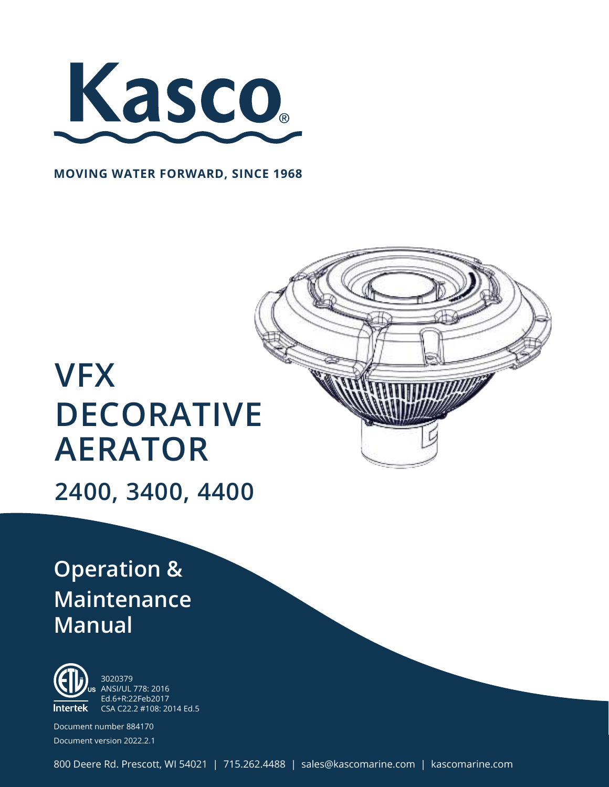

#### **MOVING WATER FORWARD, SINCE 1968**

# **VFX DECORATIVE AERATOR**

**2400, 3400, 4400**

### **Operation & Maintenance Manual**



3020379 ANSI/UL 778: 2016 Ed.6+R:22Feb2017 CSA C22.2 #108: 2014 Ed.5

Document number 884170 Document version 2022.2.1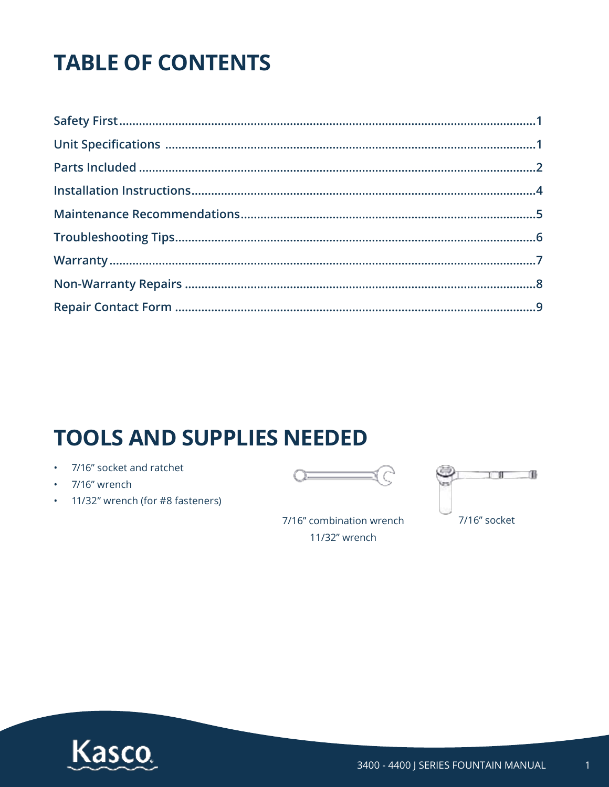## **TABLE OF CONTENTS**

### **TOOLS AND SUPPLIES NEEDED**

- 7/16" socket and ratchet
- · 7/16" wrench
- 11/32" wrench (for #8 fasteners)

C

一重  $\mathbf{1}$ 7/16" socket

7/16" combination wrench 11/32" wrench

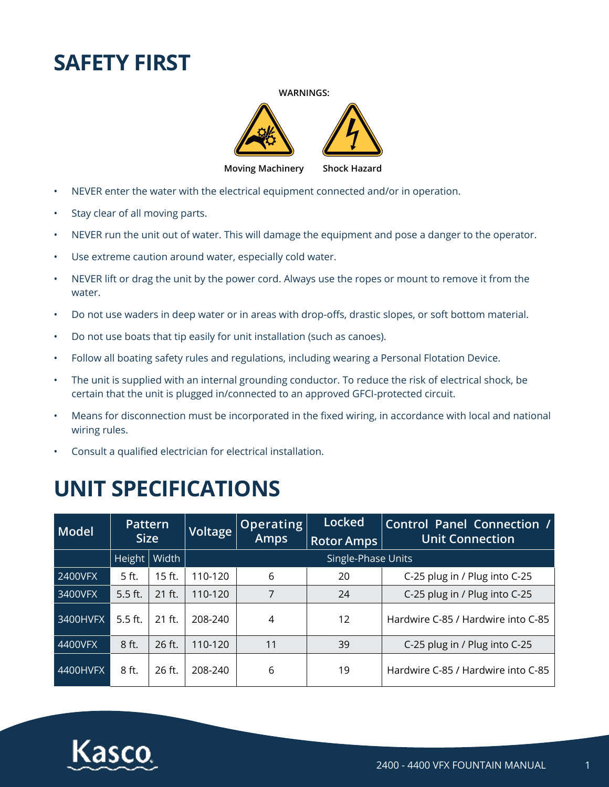### **SAFETY FIRST**



- NEVER enter the water with the electrical equipment connected and/or in operation.
- Stay clear of all moving parts.
- NEVER run the unit out of water. This will damage the equipment and pose a danger to the operator.
- Use extreme caution around water, especially cold water.
- NEVER lift or drag the unit by the power cord. Always use the ropes or mount to remove it from the water.
- Do not use waders in deep water or in areas with drop-offs, drastic slopes, or soft bottom material.
- Do not use boats that tip easily for unit installation (such as canoes).
- Follow all boating safety rules and regulations, including wearing a Personal Flotation Device.
- The unit is supplied with an internal grounding conductor. To reduce the risk of electrical shock, be certain that the unit is plugged in/connected to an approved GFCI-protected circuit.
- Means for disconnection must be incorporated in the fixed wiring, in accordance with local and national wiring rules.
- Consult a qualified electrician for electrical installation.

### **UNIT SPECIFICATIONS**

| Model    | <b>Pattern</b><br><b>Size</b> |          | Voltage | Operating<br><b>Amps</b> | Locked<br><b>Rotor Amps</b> | Control Panel Connection /<br><b>Unit Connection</b> |
|----------|-------------------------------|----------|---------|--------------------------|-----------------------------|------------------------------------------------------|
|          | Height                        | Width    |         |                          | Single-Phase Units          |                                                      |
| 2400VFX  | 5 ft.                         | 15 ft.   | 110-120 | 6                        | 20                          | C-25 plug in / Plug into C-25                        |
| 3400VFX  | $5.5$ ft.                     | $21$ ft. | 110-120 | 7                        | 24                          | C-25 plug in / Plug into C-25                        |
| 3400HVFX | 5.5 ft.                       | 21 ft.   | 208-240 | 4                        | 12                          | Hardwire C-85 / Hardwire into C-85                   |
| 4400VFX  | 8 ft.                         | 26 ft.   | 110-120 | 11                       | 39                          | C-25 plug in / Plug into C-25                        |
| 4400HVFX | 8 ft.                         | $26$ ft. | 208-240 | 6                        | 19                          | Hardwire C-85 / Hardwire into C-85                   |

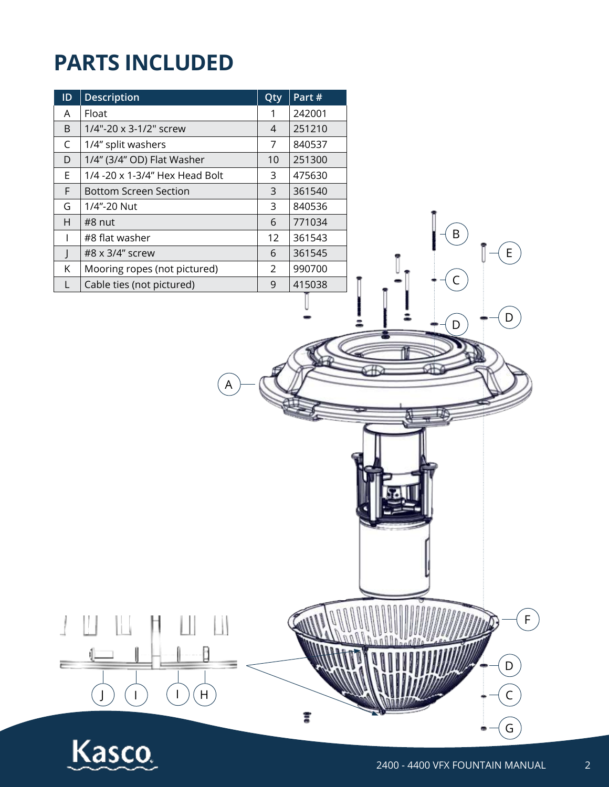### **PARTS INCLUDED**

| $\mathsf{ID}$             | <b>Description</b>             | Qty            | Part#  |   |
|---------------------------|--------------------------------|----------------|--------|---|
| A                         | Float                          | $\mathbf{1}$   | 242001 |   |
| $\sf B$                   | 1/4"-20 x 3-1/2" screw         | $\overline{4}$ | 251210 |   |
| $\mathsf C$               | 1/4" split washers             | $\overline{7}$ | 840537 |   |
| $\mathsf D$               | 1/4" (3/4" OD) Flat Washer     | 10             | 251300 |   |
| E                         | 1/4 -20 x 1-3/4" Hex Head Bolt | $\mathsf{3}$   | 475630 |   |
| F                         | <b>Bottom Screen Section</b>   | $\mathsf{3}$   | 361540 |   |
| G                         | 1/4"-20 Nut                    | 3              | 840536 |   |
| $\boldsymbol{\mathsf{H}}$ | #8 nut                         | $6\phantom{a}$ | 771034 |   |
| $\mathsf I$               | #8 flat washer                 | 12             | 361543 | B |
| J                         | #8 x 3/4" screw                | 6              | 361545 | E |
| К                         | Mooring ropes (not pictured)   | $\overline{2}$ | 990700 |   |
| L                         | Cable ties (not pictured)      | $\overline{9}$ | 415038 |   |
|                           |                                |                |        |   |
|                           |                                |                |        | D |
|                           |                                |                |        | D |
|                           |                                |                |        |   |
|                           |                                |                |        |   |
|                           |                                |                |        |   |
|                           | A                              |                |        |   |
|                           |                                |                |        |   |
|                           |                                |                |        |   |
|                           |                                |                |        |   |
|                           |                                |                |        |   |
|                           |                                |                |        |   |
|                           |                                |                |        |   |
|                           |                                |                |        |   |
|                           |                                |                |        |   |
|                           |                                |                |        |   |
|                           |                                |                |        |   |
|                           |                                |                |        |   |
|                           |                                |                |        |   |
|                           |                                |                |        |   |
|                           |                                |                |        |   |
|                           |                                |                |        | F |
|                           |                                |                |        |   |
|                           |                                |                |        |   |
|                           |                                |                |        | D |
|                           |                                |                |        |   |
|                           | H                              |                |        |   |
|                           |                                |                |        |   |
|                           |                                |                |        |   |

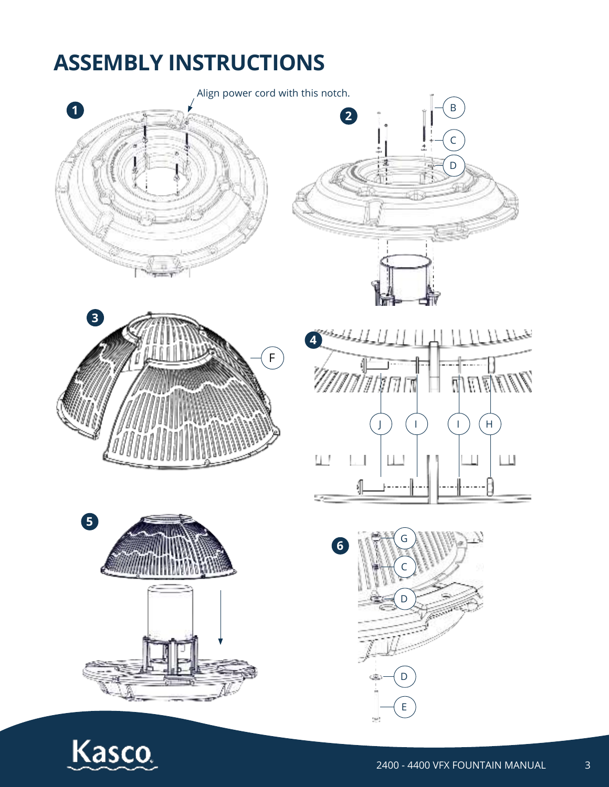### **ASSEMBLY INSTRUCTIONS**













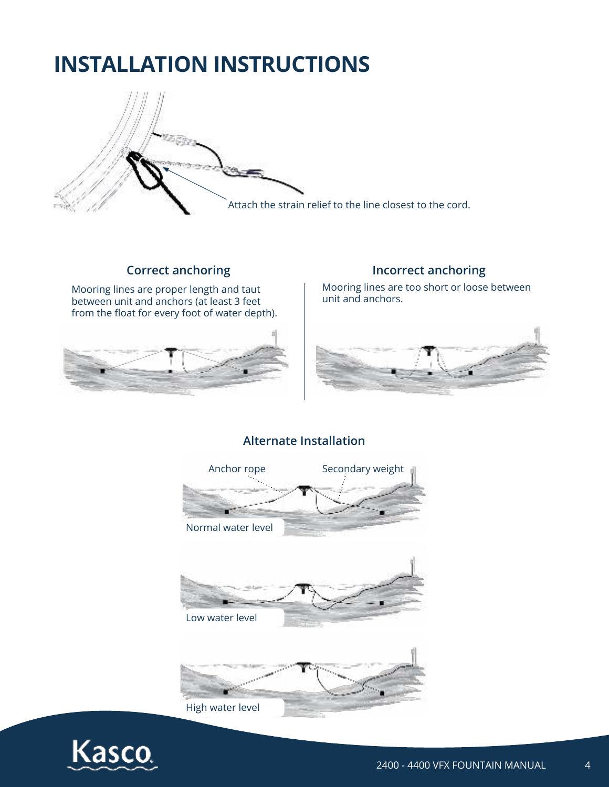### **INSTALLATION INSTRUCTIONS**



Mooring lines are proper length and taut between unit and anchors (at least 3 feet from the float for every foot of water depth).



#### **Correct anchoring Incorrect anchoring**

Mooring lines are too short or loose between unit and anchors.



### **Alternate Installation**



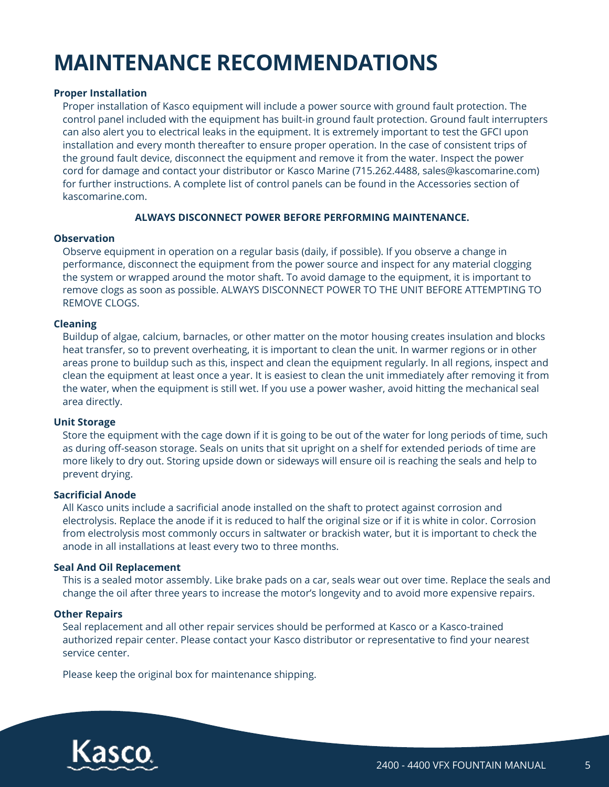### **MAINTENANCE RECOMMENDATIONS**

#### **Proper Installation**

Proper installation of Kasco equipment will include a power source with ground fault protection. The control panel included with the equipment has built-in ground fault protection. Ground fault interrupters can also alert you to electrical leaks in the equipment. It is extremely important to test the GFCI upon installation and every month thereafter to ensure proper operation. In the case of consistent trips of the ground fault device, disconnect the equipment and remove it from the water. Inspect the power cord for damage and contact your distributor or Kasco Marine (715.262.4488, sales@kascomarine.com) for further instructions. A complete list of control panels can be found in the Accessories section of kascomarine.com.

#### **ALWAYS DISCONNECT POWER BEFORE PERFORMING MAINTENANCE.**

#### **Observation**

Observe equipment in operation on a regular basis (daily, if possible). If you observe a change in performance, disconnect the equipment from the power source and inspect for any material clogging the system or wrapped around the motor shaft. To avoid damage to the equipment, it is important to remove clogs as soon as possible. ALWAYS DISCONNECT POWER TO THE UNIT BEFORE ATTEMPTING TO REMOVE CLOGS.

#### **Cleaning**

Buildup of algae, calcium, barnacles, or other matter on the motor housing creates insulation and blocks heat transfer, so to prevent overheating, it is important to clean the unit. In warmer regions or in other areas prone to buildup such as this, inspect and clean the equipment regularly. In all regions, inspect and clean the equipment at least once a year. It is easiest to clean the unit immediately after removing it from the water, when the equipment is still wet. If you use a power washer, avoid hitting the mechanical seal area directly.

#### **Unit Storage**

Store the equipment with the cage down if it is going to be out of the water for long periods of time, such as during off-season storage. Seals on units that sit upright on a shelf for extended periods of time are more likely to dry out. Storing upside down or sideways will ensure oil is reaching the seals and help to prevent drying.

#### **Sacrificial Anode**

All Kasco units include a sacrificial anode installed on the shaft to protect against corrosion and electrolysis. Replace the anode if it is reduced to half the original size or if it is white in color. Corrosion from electrolysis most commonly occurs in saltwater or brackish water, but it is important to check the anode in all installations at least every two to three months.

#### **Seal And Oil Replacement**

This is a sealed motor assembly. Like brake pads on a car, seals wear out over time. Replace the seals and change the oil after three years to increase the motor's longevity and to avoid more expensive repairs.

#### **Other Repairs**

Seal replacement and all other repair services should be performed at Kasco or a Kasco-trained authorized repair center. Please contact your Kasco distributor or representative to find your nearest service center.

Please keep the original box for maintenance shipping.

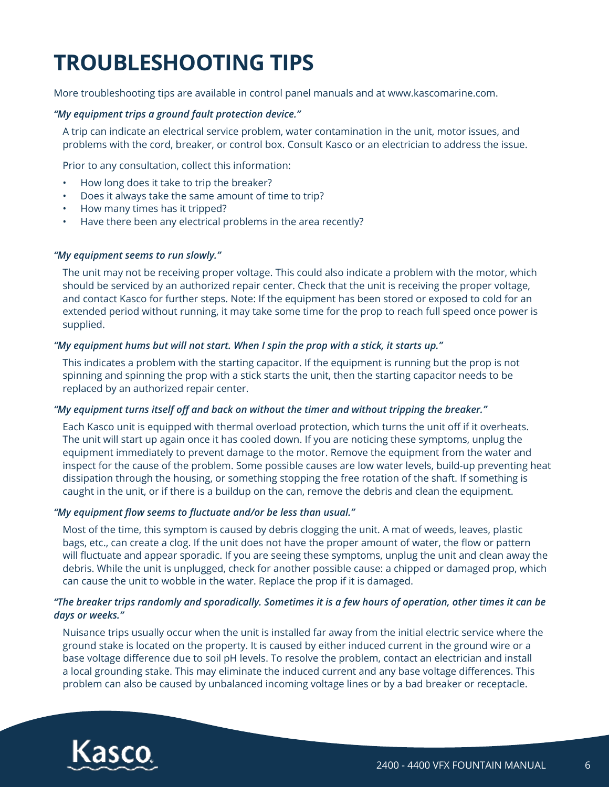### **TROUBLESHOOTING TIPS**

More troubleshooting tips are available in control panel manuals and at www.kascomarine.com.

#### *"My equipment trips a ground fault protection device."*

A trip can indicate an electrical service problem, water contamination in the unit, motor issues, and problems with the cord, breaker, or control box. Consult Kasco or an electrician to address the issue.

Prior to any consultation, collect this information:

- How long does it take to trip the breaker?
- Does it always take the same amount of time to trip?
- How many times has it tripped?
- Have there been any electrical problems in the area recently?

#### *"My equipment seems to run slowly."*

The unit may not be receiving proper voltage. This could also indicate a problem with the motor, which should be serviced by an authorized repair center. Check that the unit is receiving the proper voltage, and contact Kasco for further steps. Note: If the equipment has been stored or exposed to cold for an extended period without running, it may take some time for the prop to reach full speed once power is supplied.

#### *"My equipment hums but will not start. When I spin the prop with a stick, it starts up."*

This indicates a problem with the starting capacitor. If the equipment is running but the prop is not spinning and spinning the prop with a stick starts the unit, then the starting capacitor needs to be replaced by an authorized repair center.

#### *"My equipment turns itself off and back on without the timer and without tripping the breaker."*

Each Kasco unit is equipped with thermal overload protection, which turns the unit off if it overheats. The unit will start up again once it has cooled down. If you are noticing these symptoms, unplug the equipment immediately to prevent damage to the motor. Remove the equipment from the water and inspect for the cause of the problem. Some possible causes are low water levels, build-up preventing heat dissipation through the housing, or something stopping the free rotation of the shaft. If something is caught in the unit, or if there is a buildup on the can, remove the debris and clean the equipment.

#### *"My equipment flow seems to fluctuate and/or be less than usual."*

Most of the time, this symptom is caused by debris clogging the unit. A mat of weeds, leaves, plastic bags, etc., can create a clog. If the unit does not have the proper amount of water, the flow or pattern will fluctuate and appear sporadic. If you are seeing these symptoms, unplug the unit and clean away the debris. While the unit is unplugged, check for another possible cause: a chipped or damaged prop, which can cause the unit to wobble in the water. Replace the prop if it is damaged.

#### *"The breaker trips randomly and sporadically. Sometimes it is a few hours of operation, other times it can be days or weeks."*

Nuisance trips usually occur when the unit is installed far away from the initial electric service where the ground stake is located on the property. It is caused by either induced current in the ground wire or a base voltage difference due to soil pH levels. To resolve the problem, contact an electrician and install a local grounding stake. This may eliminate the induced current and any base voltage differences. This problem can also be caused by unbalanced incoming voltage lines or by a bad breaker or receptacle.

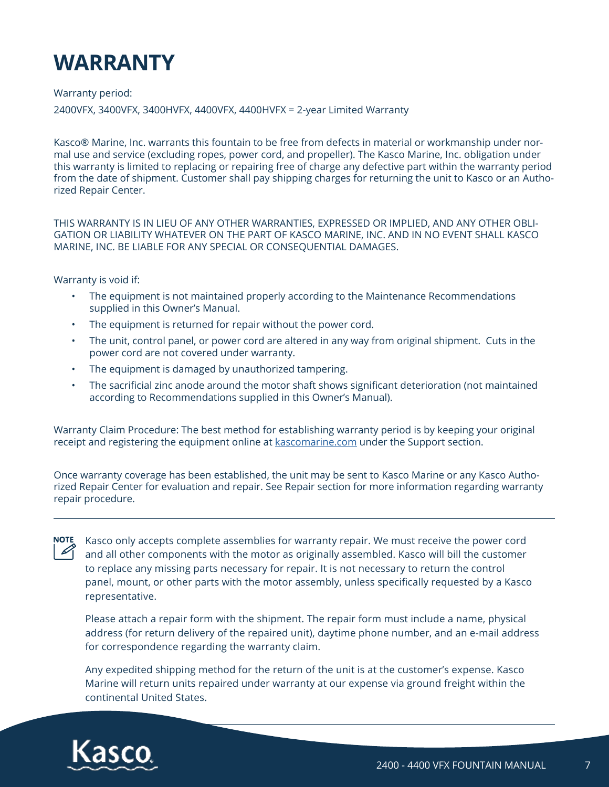### **WARRANTY**

#### Warranty period:

2400VFX, 3400VFX, 3400HVFX, 4400VFX, 4400HVFX = 2-year Limited Warranty

Kasco® Marine, Inc. warrants this fountain to be free from defects in material or workmanship under normal use and service (excluding ropes, power cord, and propeller). The Kasco Marine, Inc. obligation under this warranty is limited to replacing or repairing free of charge any defective part within the warranty period from the date of shipment. Customer shall pay shipping charges for returning the unit to Kasco or an Authorized Repair Center.

THIS WARRANTY IS IN LIEU OF ANY OTHER WARRANTIES, EXPRESSED OR IMPLIED, AND ANY OTHER OBLI-GATION OR LIABILITY WHATEVER ON THE PART OF KASCO MARINE, INC. AND IN NO EVENT SHALL KASCO MARINE, INC. BE LIABLE FOR ANY SPECIAL OR CONSEQUENTIAL DAMAGES.

#### Warranty is void if:

- The equipment is not maintained properly according to the Maintenance Recommendations supplied in this Owner's Manual.
- The equipment is returned for repair without the power cord.
- The unit, control panel, or power cord are altered in any way from original shipment. Cuts in the power cord are not covered under warranty.
- The equipment is damaged by unauthorized tampering.
- The sacrificial zinc anode around the motor shaft shows significant deterioration (not maintained according to Recommendations supplied in this Owner's Manual).

Warranty Claim Procedure: The best method for establishing warranty period is by keeping your original receipt and registering the equipment online at kascomarine.com under the Support section.

Once warranty coverage has been established, the unit may be sent to Kasco Marine or any Kasco Authorized Repair Center for evaluation and repair. See Repair section for more information regarding warranty repair procedure.

| i<br>г<br>L<br>ω |
|------------------|
|                  |
|                  |

Kasco only accepts complete assemblies for warranty repair. We must receive the power cord and all other components with the motor as originally assembled. Kasco will bill the customer to replace any missing parts necessary for repair. It is not necessary to return the control panel, mount, or other parts with the motor assembly, unless specifically requested by a Kasco representative.

Please attach a repair form with the shipment. The repair form must include a name, physical address (for return delivery of the repaired unit), daytime phone number, and an e-mail address for correspondence regarding the warranty claim.

Any expedited shipping method for the return of the unit is at the customer's expense. Kasco Marine will return units repaired under warranty at our expense via ground freight within the continental United States.

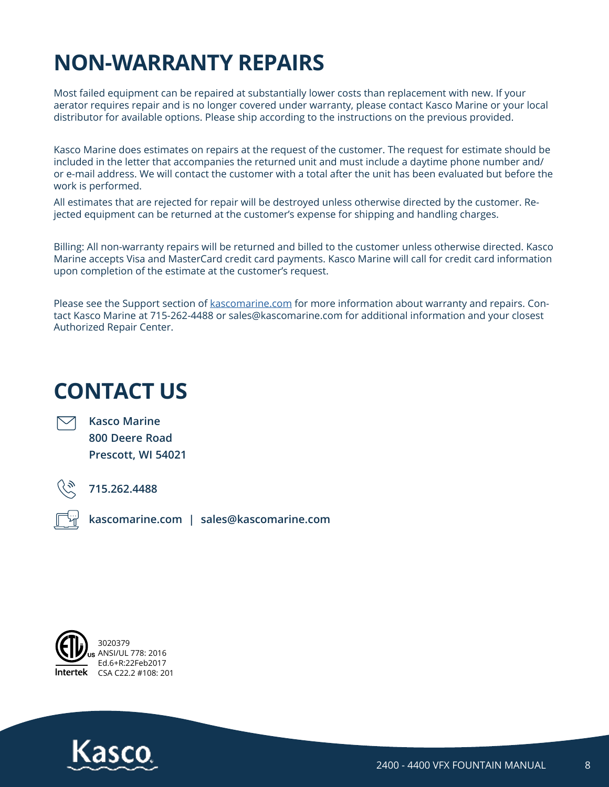### **NON-WARRANTY REPAIRS**

Most failed equipment can be repaired at substantially lower costs than replacement with new. If your aerator requires repair and is no longer covered under warranty, please contact Kasco Marine or your local distributor for available options. Please ship according to the instructions on the previous provided.

Kasco Marine does estimates on repairs at the request of the customer. The request for estimate should be included in the letter that accompanies the returned unit and must include a daytime phone number and/ or e-mail address. We will contact the customer with a total after the unit has been evaluated but before the work is performed.

All estimates that are rejected for repair will be destroyed unless otherwise directed by the customer. Rejected equipment can be returned at the customer's expense for shipping and handling charges.

Billing: All non-warranty repairs will be returned and billed to the customer unless otherwise directed. Kasco Marine accepts Visa and MasterCard credit card payments. Kasco Marine will call for credit card information upon completion of the estimate at the customer's request.

Please see the Support section of kascomarine.com for more information about warranty and repairs. Contact Kasco Marine at 715-262-4488 or sales@kascomarine.com for additional information and your closest Authorized Repair Center.

### **CONTACT US**



**Kasco Marine 800 Deere Road Prescott, WI 54021**



**715�262�4488**

**kascomarine�com | sales@kascomarine�com**



3020379 ANSI/UL 778: 2016 Ed.6+R:22Feb2017 **Intertek** CSA C22.2 #108: 201